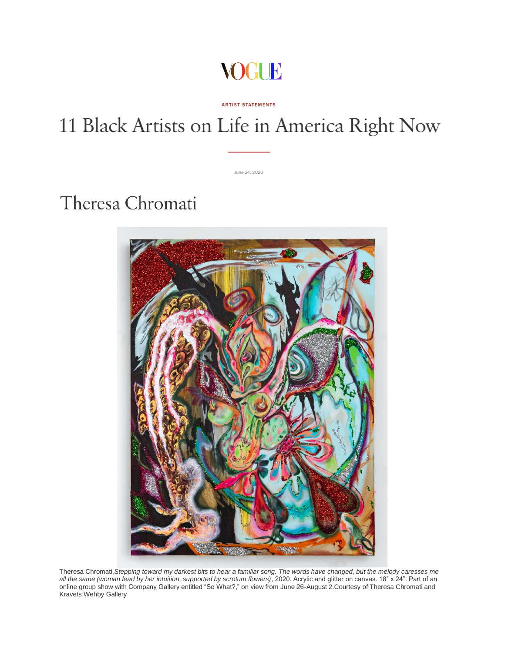

## 11 Black Artists on Life in America Right Now

**ARTIST STATEMENTS** 

June 24, 2020

Theresa Chromati



Theresa Chromati,*Stepping toward my darkest bits to hear a familiar song. The words have changed, but the melody caresses me all the same (woman lead by her intuition, supported by scrotum flowers)*, 2020. Acrylic and glitter on canvas. 18" x 24". Part of an online group show with Company Gallery entitled "So What?," on view from June 26-August 2.Courtesy of Theresa Chromati and Kravets Wehby Gallery